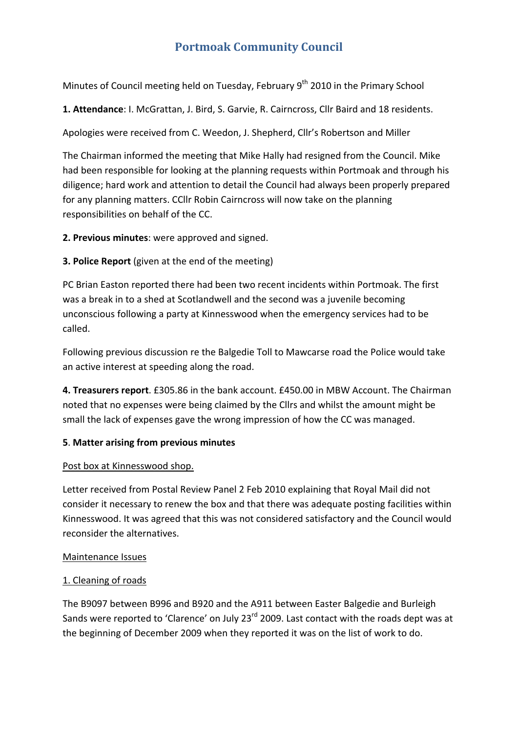# **Portmoak Community Council**

Minutes of Council meeting held on Tuesday, February 9<sup>th</sup> 2010 in the Primary School

**1. Attendance**: I. McGrattan, J. Bird, S. Garvie, R. Cairncross, Cllr Baird and 18 residents.

Apologies were received from C. Weedon, J. Shepherd, Cllr's Robertson and Miller

The Chairman informed the meeting that Mike Hally had resigned from the Council. Mike had been responsible for looking at the planning requests within Portmoak and through his diligence; hard work and attention to detail the Council had always been properly prepared for any planning matters. CCllr Robin Cairncross will now take on the planning responsibilities on behalf of the CC.

**2. Previous minutes**: were approved and signed.

**3. Police Report** (given at the end of the meeting)

PC Brian Easton reported there had been two recent incidents within Portmoak. The first was a break in to a shed at Scotlandwell and the second was a juvenile becoming unconscious following a party at Kinnesswood when the emergency services had to be called.

Following previous discussion re the Balgedie Toll to Mawcarse road the Police would take an active interest at speeding along the road.

**4. Treasurers report**. £305.86 in the bank account. £450.00 in MBW Account. The Chairman noted that no expenses were being claimed by the Cllrs and whilst the amount might be small the lack of expenses gave the wrong impression of how the CC was managed.

# **5**. **Matter arising from previous minutes**

# Post box at Kinnesswood shop.

Letter received from Postal Review Panel 2 Feb 2010 explaining that Royal Mail did not consider it necessary to renew the box and that there was adequate posting facilities within Kinnesswood. It was agreed that this was not considered satisfactory and the Council would reconsider the alternatives.

# Maintenance Issues

# 1. Cleaning of roads

The B9097 between B996 and B920 and the A911 between Easter Balgedie and Burleigh Sands were reported to 'Clarence' on July 23<sup>rd</sup> 2009. Last contact with the roads dept was at the beginning of December 2009 when they reported it was on the list of work to do.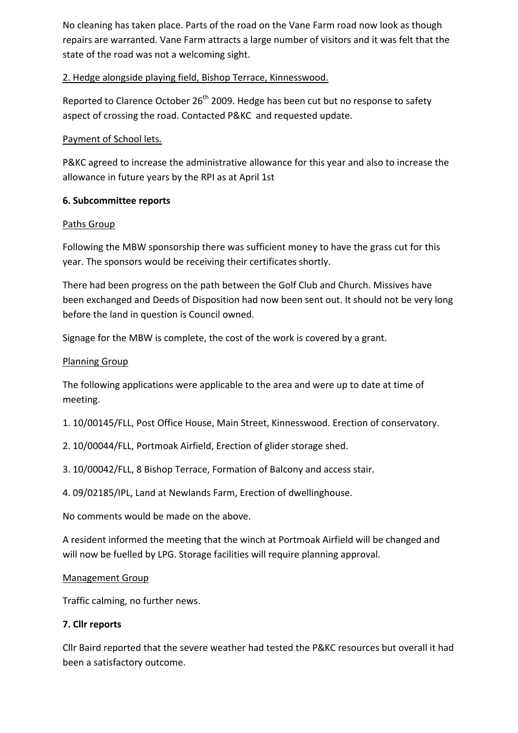No cleaning has taken place. Parts of the road on the Vane Farm road now look as though repairs are warranted. Vane Farm attracts a large number of visitors and it was felt that the state of the road was not a welcoming sight.

# 2. Hedge alongside playing field, Bishop Terrace, Kinnesswood.

Reported to Clarence October  $26<sup>th</sup>$  2009. Hedge has been cut but no response to safety aspect of crossing the road. Contacted P&KC and requested update.

# Payment of School lets.

P&KC agreed to increase the administrative allowance for this year and also to increase the allowance in future years by the RPI as at April 1st

# **6. Subcommittee reports**

# Paths Group

Following the MBW sponsorship there was sufficient money to have the grass cut for this year. The sponsors would be receiving their certificates shortly.

There had been progress on the path between the Golf Club and Church. Missives have been exchanged and Deeds of Disposition had now been sent out. It should not be very long before the land in question is Council owned.

Signage for the MBW is complete, the cost of the work is covered by a grant.

# Planning Group

The following applications were applicable to the area and were up to date at time of meeting.

- 1. 10/00145/FLL, Post Office House, Main Street, Kinnesswood. Erection of conservatory.
- 2. 10/00044/FLL, Portmoak Airfield, Erection of glider storage shed.
- 3. 10/00042/FLL, 8 Bishop Terrace, Formation of Balcony and access stair.
- 4. 09/02185/IPL, Land at Newlands Farm, Erection of dwellinghouse.

No comments would be made on the above.

A resident informed the meeting that the winch at Portmoak Airfield will be changed and will now be fuelled by LPG. Storage facilities will require planning approval.

# Management Group

Traffic calming, no further news.

# **7. Cllr reports**

Cllr Baird reported that the severe weather had tested the P&KC resources but overall it had been a satisfactory outcome.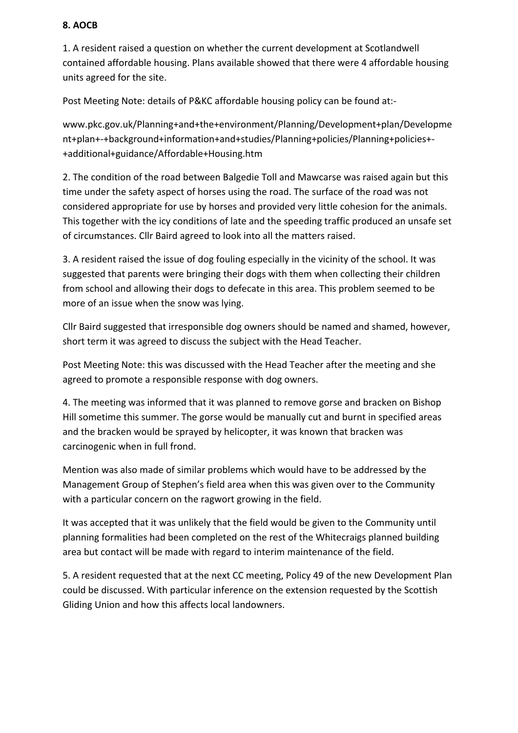#### **8. AOCB**

1. A resident raised a question on whether the current development at Scotlandwell contained affordable housing. Plans available showed that there were 4 affordable housing units agreed for the site.

Post Meeting Note: details of P&KC affordable housing policy can be found at:‐

www.pkc.gov.uk/Planning+and+the+environment/Planning/Development+plan/Developme nt+plan+‐+background+information+and+studies/Planning+policies/Planning+policies+‐ +additional+guidance/Affordable+Housing.htm

2. The condition of the road between Balgedie Toll and Mawcarse was raised again but this time under the safety aspect of horses using the road. The surface of the road was not considered appropriate for use by horses and provided very little cohesion for the animals. This together with the icy conditions of late and the speeding traffic produced an unsafe set of circumstances. Cllr Baird agreed to look into all the matters raised.

3. A resident raised the issue of dog fouling especially in the vicinity of the school. It was suggested that parents were bringing their dogs with them when collecting their children from school and allowing their dogs to defecate in this area. This problem seemed to be more of an issue when the snow was lying.

Cllr Baird suggested that irresponsible dog owners should be named and shamed, however, short term it was agreed to discuss the subject with the Head Teacher.

Post Meeting Note: this was discussed with the Head Teacher after the meeting and she agreed to promote a responsible response with dog owners.

4. The meeting was informed that it was planned to remove gorse and bracken on Bishop Hill sometime this summer. The gorse would be manually cut and burnt in specified areas and the bracken would be sprayed by helicopter, it was known that bracken was carcinogenic when in full frond.

Mention was also made of similar problems which would have to be addressed by the Management Group of Stephen's field area when this was given over to the Community with a particular concern on the ragwort growing in the field.

It was accepted that it was unlikely that the field would be given to the Community until planning formalities had been completed on the rest of the Whitecraigs planned building area but contact will be made with regard to interim maintenance of the field.

5. A resident requested that at the next CC meeting, Policy 49 of the new Development Plan could be discussed. With particular inference on the extension requested by the Scottish Gliding Union and how this affects local landowners.